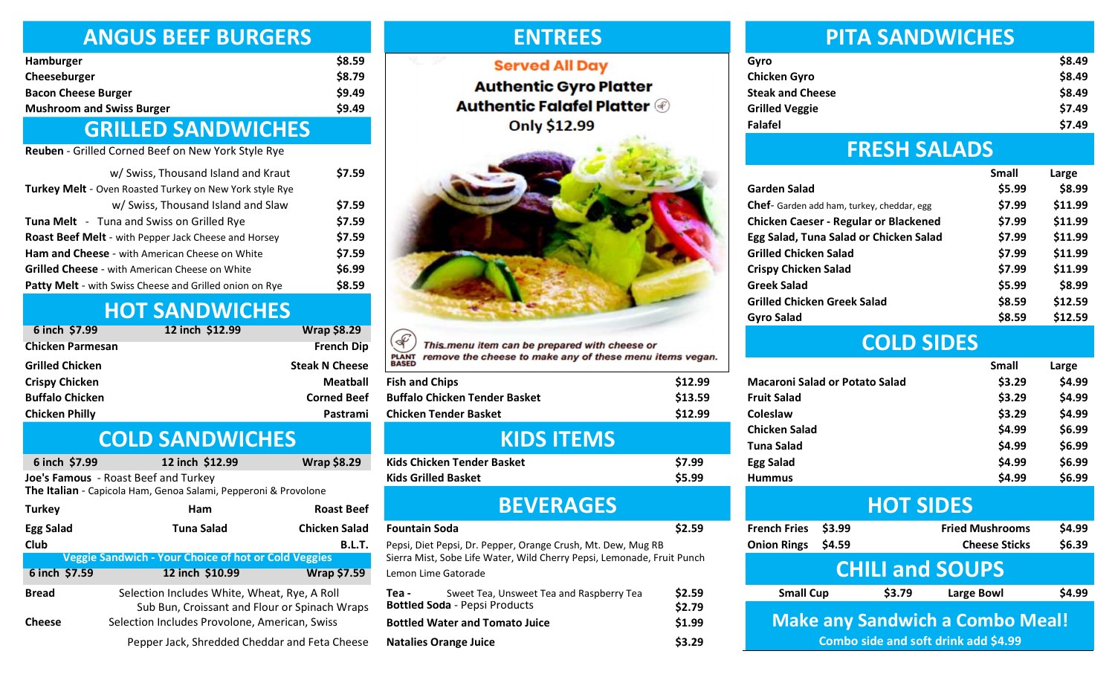#### ANGUS BEEF BURGERS

| Hamburger                        | \$8.5 |
|----------------------------------|-------|
| Cheeseburger                     | \$8.7 |
| <b>Bacon Cheese Burger</b>       | \$9.4 |
| <b>Mushroom and Swiss Burger</b> | \$9.4 |
|                                  |       |

#### GRILLED SANDWICHES

Reuben - Grilled Corned Beef on New York Style Rye

| w/ Swiss, Thousand Island and Kraut                         | \$7 |
|-------------------------------------------------------------|-----|
| Turkey Melt - Oven Roasted Turkey on New York style Rye     |     |
| w/ Swiss, Thousand Island and Slaw                          | \$7 |
| <b>Tuna Melt</b> - Tuna and Swiss on Grilled Rye            | \$7 |
| <b>Roast Beef Melt</b> - with Pepper Jack Cheese and Horsey | \$7 |
| Ham and Cheese - with American Cheese on White              | \$7 |
| <b>Grilled Cheese</b> - with American Cheese on White       | \$6 |
| Patty Melt - with Swiss Cheese and Grilled onion on Rye     | \$8 |

## HOT SANDWICHES

| 6 inch \$7.99           | 12 inch \$12.99 | <b>Wrap \$8.29</b>    |
|-------------------------|-----------------|-----------------------|
| <b>Chicken Parmesan</b> |                 | <b>French Dip</b>     |
| <b>Grilled Chicken</b>  |                 | <b>Steak N Cheese</b> |
| <b>Crispy Chicken</b>   |                 | <b>Meatball</b>       |
| <b>Buffalo Chicken</b>  |                 | <b>Corned Beef</b>    |
| <b>Chicken Philly</b>   |                 | Pastrami              |

#### COLD SANDWICHES

| 6 inch \$7.99                                                                                           | 12 inch \$12.99                                                                                                                                | <b>Wrap \$8.29</b>   |  |  |  |
|---------------------------------------------------------------------------------------------------------|------------------------------------------------------------------------------------------------------------------------------------------------|----------------------|--|--|--|
| Joe's Famous - Roast Beef and Turkey<br>The Italian - Capicola Ham, Genoa Salami, Pepperoni & Provolone |                                                                                                                                                |                      |  |  |  |
| <b>Turkey</b>                                                                                           | Ham                                                                                                                                            | <b>Roast Beef</b>    |  |  |  |
| <b>Egg Salad</b>                                                                                        | Tuna Salad                                                                                                                                     | <b>Chicken Salad</b> |  |  |  |
| <b>Club</b>                                                                                             |                                                                                                                                                | <b>B.L.T.</b>        |  |  |  |
|                                                                                                         | <b>Veggie Sandwich - Your Choice of hot or Cold Veggies</b>                                                                                    |                      |  |  |  |
| 6 inch \$7.59                                                                                           | 12 inch \$10.99                                                                                                                                | <b>Wrap \$7.59</b>   |  |  |  |
| <b>Bread</b><br><b>Cheese</b>                                                                           | Selection Includes White, Wheat, Rye, A Roll<br>Sub Bun, Croissant and Flour or Spinach Wraps<br>Selection Includes Provolone, American, Swiss |                      |  |  |  |
|                                                                                                         | Pepper Jack, Shredded Cheddar and Feta Cheese                                                                                                  |                      |  |  |  |

ENTREES

# **Served All Day**  $_{49}$  Authentic Falafel Platter  $\circledast$ **Only \$12.99**



 $\mathscr{F}$ This menu item can be prepared with cheese or **PLANT**<br>BASED remove the cheese to make any of these menu items vegan.

| <b>Fish and Chips</b>                | \$12.99 |
|--------------------------------------|---------|
| <b>Buffalo Chicken Tender Basket</b> | \$13.59 |
| <b>Chicken Tender Basket</b>         | \$12.99 |
|                                      |         |

# KIDS ITEMS

| Kids Chicken Tender Basket | \$7.99 |
|----------------------------|--------|
| Kids Grilled Basket        | \$5.99 |
| <b>BEVERAGES</b>           |        |

#### Fountain Soda

| Sweet Tea, Unsweet Tea and Raspberry Tea<br>Tea -<br><b>Bottled Soda</b> - Pepsi Products |                              | \$2.59<br>\$2.79 |
|-------------------------------------------------------------------------------------------|------------------------------|------------------|
| <b>Bottled Water and Tomato Juice</b>                                                     |                              | \$1.99           |
|                                                                                           | <b>Natalies Orange Juice</b> | \$3.29           |

#### PITA SANDWICHES

| \$8.59 | <b>Served All Day</b>              | Gvro                    | \$8.49 |
|--------|------------------------------------|-------------------------|--------|
| \$8.79 |                                    | <b>Chicken Gyro</b>     | \$8.49 |
| \$9.49 | <b>Authentic Gyro Platter</b>      | <b>Steak and Cheese</b> | \$8.49 |
| \$9.49 | <b>Authentic Falafel Platter @</b> | <b>Grilled Veggie</b>   | \$7.49 |
|        | <b>Only \$12.99</b>                | Falafel                 | \$7.49 |
|        |                                    |                         |        |

#### FRESH SALADS

|                                                   | Small  | Large   |
|---------------------------------------------------|--------|---------|
| <b>Garden Salad</b>                               | \$5.99 | \$8.99  |
| <b>Chef-</b> Garden add ham, turkey, cheddar, egg | \$7.99 | \$11.99 |
| <b>Chicken Caeser - Regular or Blackened</b>      | \$7.99 | \$11.99 |
| Egg Salad, Tuna Salad or Chicken Salad            | \$7.99 | \$11.99 |
| <b>Grilled Chicken Salad</b>                      | \$7.99 | \$11.99 |
| <b>Crispy Chicken Salad</b>                       | \$7.99 | \$11.99 |
| <b>Greek Salad</b>                                | \$5.99 | \$8.99  |
| <b>Grilled Chicken Greek Salad</b>                | \$8.59 | \$12.59 |
| <b>Gyro Salad</b>                                 | \$8.59 | \$12.59 |

# COLD SIDES

| <b>BASED</b>                                                                                  |                  |                                           |        |                  | <b>Small</b>                           | Large            |
|-----------------------------------------------------------------------------------------------|------------------|-------------------------------------------|--------|------------------|----------------------------------------|------------------|
| <b>Fish and Chips</b>                                                                         | \$12.99          | <b>Macaroni Salad or Potato Salad</b>     |        |                  | \$3.29                                 | \$4.99           |
| <b>Buffalo Chicken Tender Basket</b>                                                          | \$13.59          | <b>Fruit Salad</b>                        |        |                  | \$3.29                                 | \$4.99           |
| <b>Chicken Tender Basket</b>                                                                  | \$12.99          | Coleslaw                                  |        |                  | \$3.29                                 | \$4.99           |
| <b>KIDS ITEMS</b>                                                                             |                  | <b>Chicken Salad</b><br><b>Tuna Salad</b> |        |                  | \$4.99<br>\$4.99                       | \$6.99<br>\$6.99 |
| Kids Chicken Tender Basket                                                                    | \$7.99           | <b>Egg Salad</b>                          |        |                  | \$4.99                                 | \$6.99           |
| Kids Grilled Basket                                                                           | \$5.99           | <b>Hummus</b>                             |        |                  | \$4.99                                 | \$6.99           |
| <b>BEVERAGES</b>                                                                              |                  |                                           |        | <b>HOT SIDES</b> |                                        |                  |
| Fountain Soda                                                                                 | \$2.59           | <b>French Fries</b>                       | \$3.99 |                  | <b>Fried Mushrooms</b>                 | \$4.99           |
| Pepsi, Diet Pepsi, Dr. Pepper, Orange Crush, Mt. Dew, Mug RB                                  |                  | <b>Onion Rings</b>                        | \$4.59 |                  | <b>Cheese Sticks</b>                   | \$6.39           |
| Sierra Mist, Sobe Life Water, Wild Cherry Pepsi, Lemonade, Fruit Punch<br>Lemon Lime Gatorade |                  |                                           |        |                  | <b>CHILI and SOUPS</b>                 |                  |
| Tea -<br>Sweet Tea, Unsweet Tea and Raspberry Tea                                             | \$2.59           | <b>Small Cup</b>                          |        | \$3.79           | <b>Large Bowl</b>                      | \$4.99           |
| <b>Bottled Soda</b> - Pepsi Products<br><b>Bottled Water and Tomato Juice</b>                 | \$2.79<br>\$1.99 |                                           |        |                  | <b>Make any Sandwich a Combo Meal!</b> |                  |
| <b>Natalies Orange Juice</b>                                                                  | \$3.29           |                                           |        |                  | Combo side and soft drink add \$4.99   |                  |